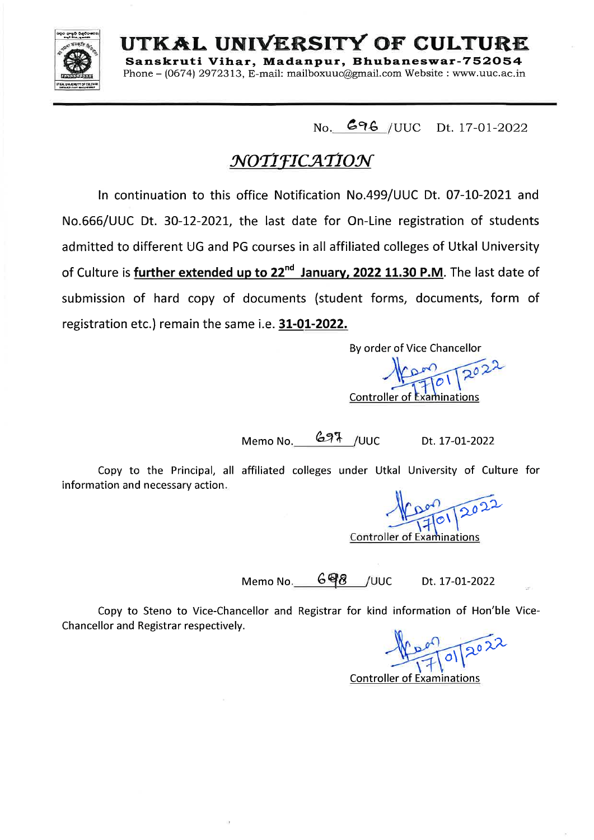

UTKAL UNIVERSITY OF CULTURE Sanskruti Vihar, Madanpur, Bhubaneswar-752054

Phone – (0674) 2972313. E-mail: mailboxuuc@gmail.com Website : www.uuc.ac.in

No. 696 / UUC Dt. 17-01-2022

## NOTIFICATION

In continuation to this office Notification No.499/UUC Dt. 07-10-2021 and No.666/UUC Dt. 30-12-2021, the last date for On-Line registration of students admitted to different UG and PG courses in all affiliated colleges of Utkal University of Culture is further extended up to 22<sup>nd</sup> January, 2022 11.30 P.M. The last date of submission of hard copy of documents (student forms, documents, form of registration etc.) remain the same i.e. 31-01-2022.

By order of Vice Chancellor

Controller of Examinations

Memo No. 697 /UUC Dt. 17-01-2022

Copy to the Principal, all affiliated colleges under Utkal University of Culture for information and necessary action.

**Controller of Examinations** 

Memo No. 698 / UUC Dt. 17-01-2022

Copy to Steno to Vice-Chancellor and Registrar for kind information of Hon'ble Vice-Chancellor and Registrar respectively.

 $|o|$ 

**Controller of Examinations**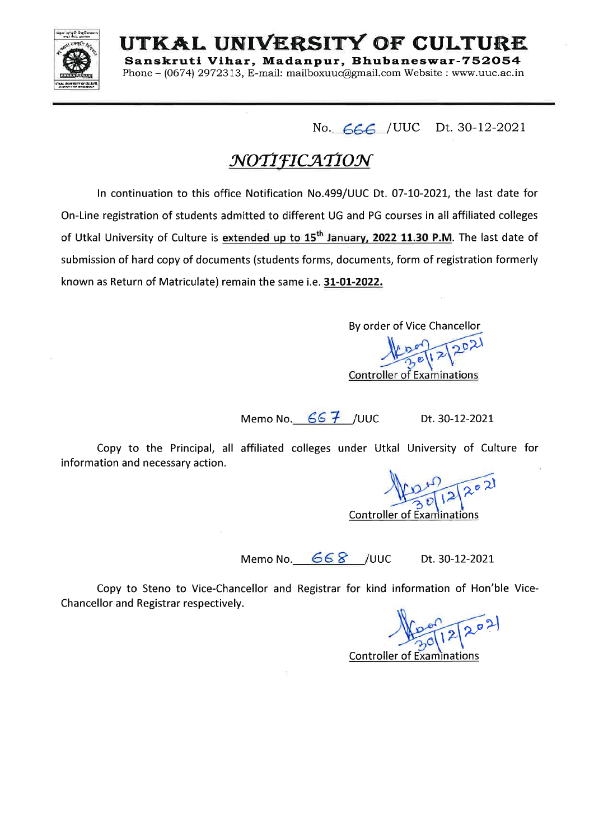

UTKAL UNIVERSITY OF CULTURE Sanskruti Vihar, Madanpur, Bhubaneswar-752054

Phone – (0674) 2972313. E-mail: mailboxuuc@email.com Website : www.uuc.ac.in

No. 666 / UUC Dt. 30-12-2021

# NOTIFICATION

In continuation to this office Notification No.499/UUC Dt. 07-10-2021, the last date for On-Line registration of students admitted to different UG and PG courses in all affiliated colleges of Utkal University of Culture is extended up to 15<sup>th</sup> January, 2022 11.30 P.M. The last date of submission of hard copy of documents (students forms, documents, form of registration formerly known as Return of Matriculate) remain the same i.e. 31-01-2022.

By order of Vice Chancellor

**Controller of Examinations** 

Memo No. 66 7 / UUC

Dt. 30-12-2021

Copy to the Principal, all affiliated colleges under Utkal University of Culture for information and necessary action.

**Controller of Examinations** 

Memo No. 668 /UUC Dt. 30-12-2021

Copy to Steno to Vice-Chancellor and Registrar for kind information of Hon'ble Vice-Chancellor and Registrar respectively.

**Controller of Examinations**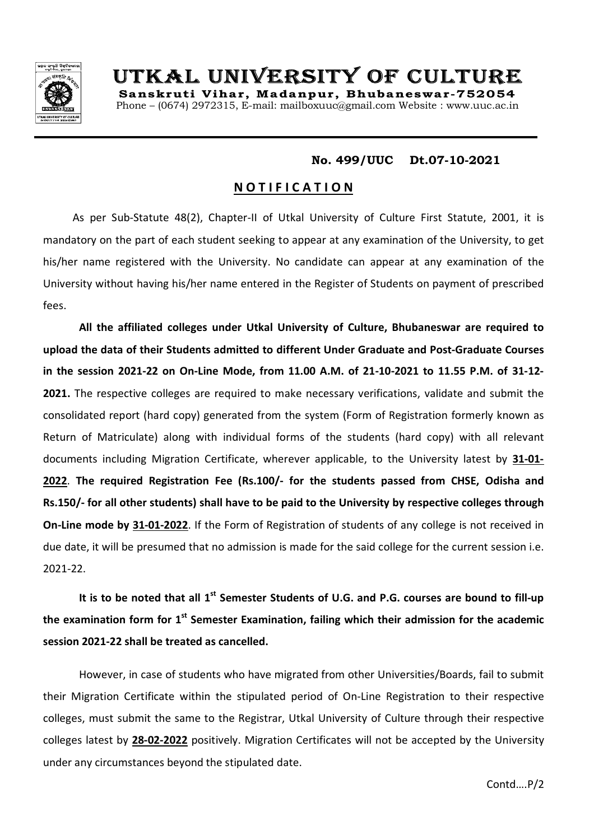

# UTKAL UNIVERSITY OF CULTURE

Sanskruti Vihar, Madanpur, Bhubaneswar-752054 Phone – (0674) 2972315, E-mail: mailboxuuc@gmail.com Website : www.uuc.ac.in

## **No. 499/UUC Dt.07-10-2021**

## **N O T I F I C A T I O N**

 As per Sub-Statute 48(2), Chapter-II of Utkal University of Culture First Statute, 2001, it is mandatory on the part of each student seeking to appear at any examination of the University, to get his/her name registered with the University. No candidate can appear at any examination of the University without having his/her name entered in the Register of Students on payment of prescribed fees.

**All the affiliated colleges under Utkal University of Culture, Bhubaneswar are required to upload the data of their Students admitted to different Under Graduate and Post-Graduate Courses in the session 2021-22 on On-Line Mode, from 11.00 A.M. of 21-10-2021 to 11.55 P.M. of 31-12- 2021.** The respective colleges are required to make necessary verifications, validate and submit the consolidated report (hard copy) generated from the system (Form of Registration formerly known as Return of Matriculate) along with individual forms of the students (hard copy) with all relevant documents including Migration Certificate, wherever applicable, to the University latest by **31-01- 2022**. **The required Registration Fee (Rs.100/- for the students passed from CHSE, Odisha and Rs.150/- for all other students) shall have to be paid to the University by respective colleges through On-Line mode by 31-01-2022**. If the Form of Registration of students of any college is not received in due date, it will be presumed that no admission is made for the said college for the current session i.e. 2021-22.

**It is to be noted that all 1st Semester Students of U.G. and P.G. courses are bound to fill-up the examination form for 1st Semester Examination, failing which their admission for the academic session 2021-22 shall be treated as cancelled.** 

However, in case of students who have migrated from other Universities/Boards, fail to submit their Migration Certificate within the stipulated period of On-Line Registration to their respective colleges, must submit the same to the Registrar, Utkal University of Culture through their respective colleges latest by **28-02-2022** positively. Migration Certificates will not be accepted by the University under any circumstances beyond the stipulated date.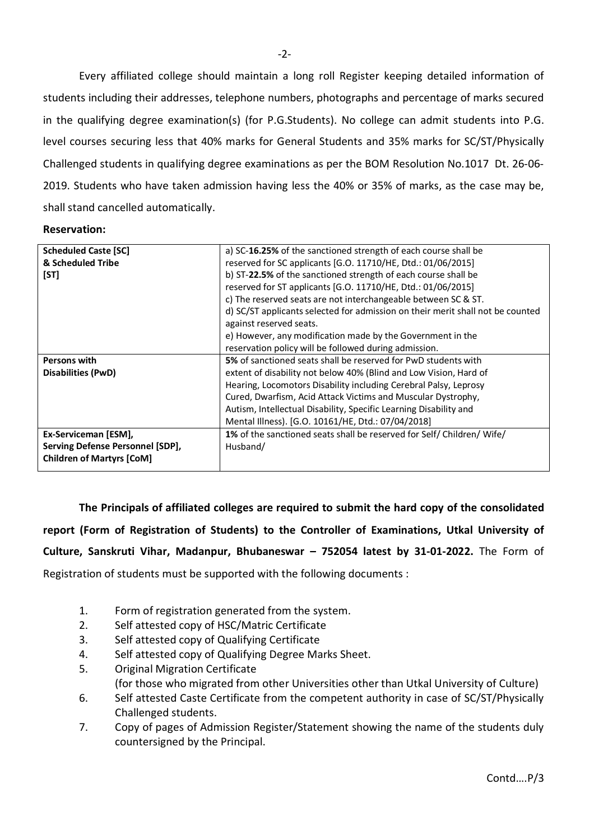Every affiliated college should maintain a long roll Register keeping detailed information of students including their addresses, telephone numbers, photographs and percentage of marks secured in the qualifying degree examination(s) (for P.G.Students). No college can admit students into P.G. level courses securing less that 40% marks for General Students and 35% marks for SC/ST/Physically Challenged students in qualifying degree examinations as per the BOM Resolution No.1017 Dt. 26-06- 2019. Students who have taken admission having less the 40% or 35% of marks, as the case may be, shall stand cancelled automatically.

#### **Reservation:**

| <b>Scheduled Caste [SC]</b>      | a) SC-16.25% of the sanctioned strength of each course shall be                |
|----------------------------------|--------------------------------------------------------------------------------|
| & Scheduled Tribe                | reserved for SC applicants [G.O. 11710/HE, Dtd.: 01/06/2015]                   |
| [ST]                             | b) ST-22.5% of the sanctioned strength of each course shall be                 |
|                                  | reserved for ST applicants [G.O. 11710/HE, Dtd.: 01/06/2015]                   |
|                                  | c) The reserved seats are not interchangeable between SC & ST.                 |
|                                  | d) SC/ST applicants selected for admission on their merit shall not be counted |
|                                  | against reserved seats.                                                        |
|                                  | e) However, any modification made by the Government in the                     |
|                                  | reservation policy will be followed during admission.                          |
| <b>Persons with</b>              | 5% of sanctioned seats shall be reserved for PwD students with                 |
| Disabilities (PwD)               | extent of disability not below 40% (Blind and Low Vision, Hard of              |
|                                  | Hearing, Locomotors Disability including Cerebral Palsy, Leprosy               |
|                                  | Cured, Dwarfism, Acid Attack Victims and Muscular Dystrophy,                   |
|                                  | Autism, Intellectual Disability, Specific Learning Disability and              |
|                                  | Mental Illness). [G.O. 10161/HE, Dtd.: 07/04/2018]                             |
| Ex-Serviceman [ESM],             | 1% of the sanctioned seats shall be reserved for Self/Children/Wife/           |
| Serving Defense Personnel [SDP], | Husband/                                                                       |
| <b>Children of Martyrs [CoM]</b> |                                                                                |
|                                  |                                                                                |

**The Principals of affiliated colleges are required to submit the hard copy of the consolidated report (Form of Registration of Students) to the Controller of Examinations, Utkal University of Culture, Sanskruti Vihar, Madanpur, Bhubaneswar – 752054 latest by 31-01-2022.** The Form of Registration of students must be supported with the following documents :

- 1. Form of registration generated from the system.
- 2. Self attested copy of HSC/Matric Certificate
- 3. Self attested copy of Qualifying Certificate
- 4. Self attested copy of Qualifying Degree Marks Sheet.
- 5. Original Migration Certificate
	- (for those who migrated from other Universities other than Utkal University of Culture)
- 6. Self attested Caste Certificate from the competent authority in case of SC/ST/Physically Challenged students.
- 7. Copy of pages of Admission Register/Statement showing the name of the students duly countersigned by the Principal.